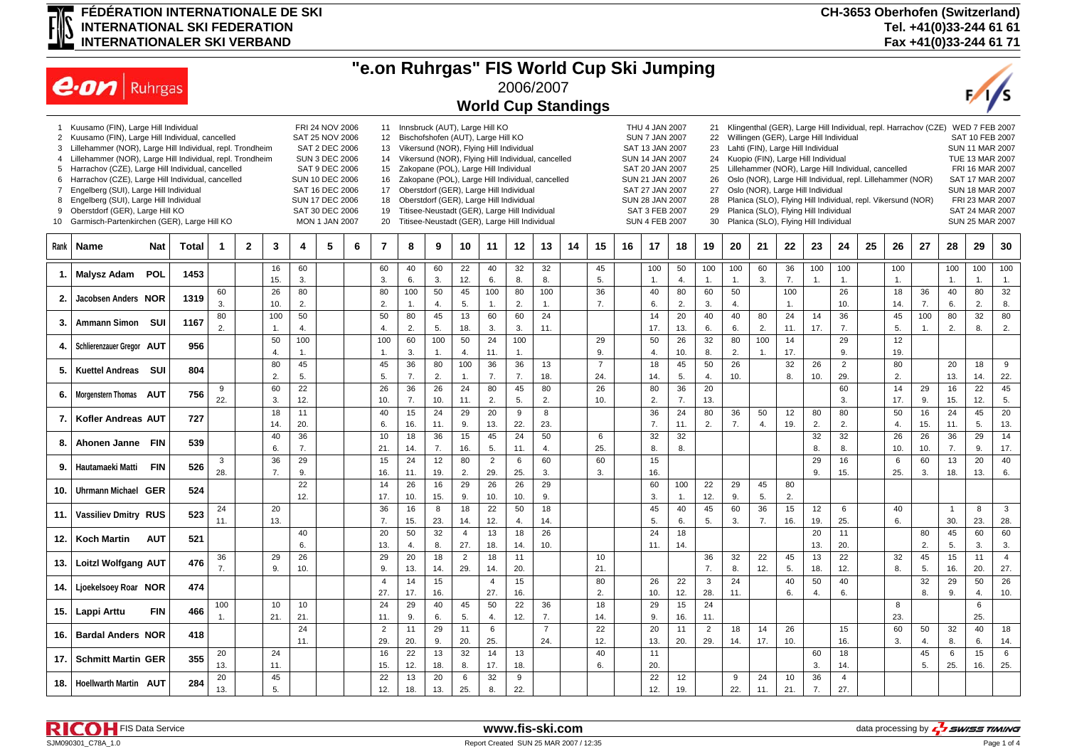## **FÉDÉRATION INTERNATIONALE DE SKI INTERNATIONAL SKI FEDERATION INTERNATIONALER SKI VERBAND**

**CH-3653 Oberhofen (Switzerland) Tel. +41(0)33-244 61 61 Fax +41(0)33-244 61 71**

|                                                                      |                                      |                                                                                                                                                                                                                                                                                                                                                                                                                                                                                                                                                                                                                                                                                                                                                                                                                                                                                                                                                                                                                                                                                                                                                                                                                                                                                                                                                                                                                                                         |      |                      |  |                      |                |  |  |                       | "e.on Ruhrgas" FIS World Cup Ski Jumping |           |                       |                       |           |                            |                                                                                    |  |                                                          |                      |                       |           |                                                                                                                                                                                                                                                                                                                                                                                                                                 |           |                  |                |                                                                 |           |                                                                                                                                                                                                                |                |                    |                       |
|----------------------------------------------------------------------|--------------------------------------|---------------------------------------------------------------------------------------------------------------------------------------------------------------------------------------------------------------------------------------------------------------------------------------------------------------------------------------------------------------------------------------------------------------------------------------------------------------------------------------------------------------------------------------------------------------------------------------------------------------------------------------------------------------------------------------------------------------------------------------------------------------------------------------------------------------------------------------------------------------------------------------------------------------------------------------------------------------------------------------------------------------------------------------------------------------------------------------------------------------------------------------------------------------------------------------------------------------------------------------------------------------------------------------------------------------------------------------------------------------------------------------------------------------------------------------------------------|------|----------------------|--|----------------------|----------------|--|--|-----------------------|------------------------------------------|-----------|-----------------------|-----------------------|-----------|----------------------------|------------------------------------------------------------------------------------|--|----------------------------------------------------------|----------------------|-----------------------|-----------|---------------------------------------------------------------------------------------------------------------------------------------------------------------------------------------------------------------------------------------------------------------------------------------------------------------------------------------------------------------------------------------------------------------------------------|-----------|------------------|----------------|-----------------------------------------------------------------|-----------|----------------------------------------------------------------------------------------------------------------------------------------------------------------------------------------------------------------|----------------|--------------------|-----------------------|
|                                                                      | $ e \cdot \omega $ Ruhrgas           |                                                                                                                                                                                                                                                                                                                                                                                                                                                                                                                                                                                                                                                                                                                                                                                                                                                                                                                                                                                                                                                                                                                                                                                                                                                                                                                                                                                                                                                         |      |                      |  |                      |                |  |  |                       |                                          |           |                       |                       |           | 2006/2007                  |                                                                                    |  |                                                          |                      |                       |           |                                                                                                                                                                                                                                                                                                                                                                                                                                 |           |                  |                |                                                                 |           |                                                                                                                                                                                                                |                |                    |                       |
|                                                                      |                                      |                                                                                                                                                                                                                                                                                                                                                                                                                                                                                                                                                                                                                                                                                                                                                                                                                                                                                                                                                                                                                                                                                                                                                                                                                                                                                                                                                                                                                                                         |      |                      |  |                      |                |  |  |                       |                                          |           |                       |                       |           | <b>World Cup Standings</b> |                                                                                    |  |                                                          |                      |                       |           |                                                                                                                                                                                                                                                                                                                                                                                                                                 |           |                  |                |                                                                 |           |                                                                                                                                                                                                                |                |                    |                       |
| $\overline{2}$<br>3<br>4<br>5<br>6<br>$\overline{7}$<br>8<br>9<br>10 | Kuusamo (FIN), Large Hill Individual | FRI 24 NOV 2006<br>11 Innsbruck (AUT), Large Hill KO<br>Kuusamo (FIN), Large Hill Individual, cancelled<br>SAT 25 NOV 2006<br>12<br>Bischofshofen (AUT), Large Hill KO<br>Lillehammer (NOR), Large Hill Individual, repl. Trondheim<br>SAT 2 DEC 2006<br>Vikersund (NOR), Flying Hill Individual<br>SAT 13 JAN 2007<br>13<br>Lillehammer (NOR), Large Hill Individual, repl. Trondheim<br>14 Vikersund (NOR), Flying Hill Individual, cancelled<br><b>SUN 3 DEC 2006</b><br>SUN 14 JAN 2007<br>Harrachov (CZE), Large Hill Individual, cancelled<br>SAT 9 DEC 2006<br>Zakopane (POL), Large Hill Individual<br>15<br>SAT 20 JAN 2007<br>Harrachov (CZE), Large Hill Individual, cancelled<br>SUN 10 DEC 2006<br>Zakopane (POL), Large Hill Individual, cancelled<br>SUN 21 JAN 2007<br>16<br>Engelberg (SUI), Large Hill Individual<br>SAT 16 DEC 2006<br>Oberstdorf (GER), Large Hill Individual<br>17<br>SAT 27 JAN 2007<br>Engelberg (SUI), Large Hill Individual<br>SUN 17 DEC 2006<br>Oberstdorf (GER), Large Hill Individual<br>SUN 28 JAN 2007<br>18<br>Oberstdorf (GER), Large Hill KO<br>Titisee-Neustadt (GER), Large Hill Individual<br>SAT 30 DEC 2006<br>19<br>Titisee-Neustadt (GER), Large Hill Individual<br>Garmisch-Partenkirchen (GER), Large Hill KO<br>20<br><b>MON 1 JAN 2007</b><br>$\overline{2}$<br>5<br>$\overline{7}$<br><b>Total</b><br>3<br>6<br>8<br>9<br>10<br>11<br>12<br>13<br>14<br>15<br>16<br><b>Nat</b><br>4<br>-1 |      |                      |  |                      |                |  |  |                       |                                          |           |                       |                       |           |                            | THU 4 JAN 2007<br><b>SUN 7 JAN 2007</b><br>SAT 3 FEB 2007<br><b>SUN 4 FEB 2007</b> |  | 21<br>22<br>23<br>24<br>25<br>26<br>27<br>28<br>29<br>30 |                      |                       |           | Willingen (GER), Large Hill Individual<br>Lahti (FIN), Large Hill Individual<br>Kuopio (FIN), Large Hill Individual<br>Lillehammer (NOR), Large Hill Individual, cancelled<br>Oslo (NOR), Large Hill Individual, repl. Lillehammer (NOR)<br>Oslo (NOR), Large Hill Individual<br>Planica (SLO), Flying Hill Individual, repl. Vikersund (NOR)<br>Planica (SLO), Flying Hill Individual<br>Planica (SLO), Flying Hill Individual |           |                  |                | Klingenthal (GER), Large Hill Individual, repl. Harrachov (CZE) |           | <b>WED 7 FEB 2007</b><br>SAT 10 FEB 2007<br>SUN 11 MAR 2007<br>TUE 13 MAR 2007<br>FRI 16 MAR 2007<br>SAT 17 MAR 2007<br><b>SUN 18 MAR 2007</b><br>FRI 23 MAR 2007<br>SAT 24 MAR 2007<br><b>SUN 25 MAR 2007</b> |                |                    |                       |
| Rank                                                                 | Name                                 |                                                                                                                                                                                                                                                                                                                                                                                                                                                                                                                                                                                                                                                                                                                                                                                                                                                                                                                                                                                                                                                                                                                                                                                                                                                                                                                                                                                                                                                         |      |                      |  |                      |                |  |  |                       |                                          |           |                       |                       |           |                            |                                                                                    |  | 17                                                       | 18                   | 19                    | 20        | 21                                                                                                                                                                                                                                                                                                                                                                                                                              | 22        | 23               | 24             | 25                                                              | 26        | 27                                                                                                                                                                                                             | 28             | 29                 | 30                    |
|                                                                      | Malysz Adam POL                      |                                                                                                                                                                                                                                                                                                                                                                                                                                                                                                                                                                                                                                                                                                                                                                                                                                                                                                                                                                                                                                                                                                                                                                                                                                                                                                                                                                                                                                                         | 1453 |                      |  | 16                   | 60             |  |  | 60                    | 40                                       | 60        | 22                    | 40                    | 32        | 32                         | 45                                                                                 |  | 100                                                      | 50                   | 100                   | 100       | 60                                                                                                                                                                                                                                                                                                                                                                                                                              | 36        | 100              | 100            |                                                                 | 100       |                                                                                                                                                                                                                | 100            | 100                | 100                   |
| 2.                                                                   | Jacobsen Anders NOR                  |                                                                                                                                                                                                                                                                                                                                                                                                                                                                                                                                                                                                                                                                                                                                                                                                                                                                                                                                                                                                                                                                                                                                                                                                                                                                                                                                                                                                                                                         | 1319 | 60                   |  | 15.<br>26            | 3.<br>80       |  |  | 3.<br>80              | 6.<br>100                                | 3.<br>50  | 12.<br>45             | 6.<br>100             | 8.<br>80  | 8.<br>100                  | 5.<br>36                                                                           |  | 1.<br>40                                                 | $\overline{4}$<br>80 | $\mathbf{1}$<br>60    | 1.<br>50  | 3.                                                                                                                                                                                                                                                                                                                                                                                                                              | 7.<br>100 | 1.               | 1.<br>26       |                                                                 | 1.<br>18  | 36                                                                                                                                                                                                             | 1.<br>40       | $\mathbf{1}$<br>80 | $\mathbf{1}$ .<br>32  |
|                                                                      |                                      |                                                                                                                                                                                                                                                                                                                                                                                                                                                                                                                                                                                                                                                                                                                                                                                                                                                                                                                                                                                                                                                                                                                                                                                                                                                                                                                                                                                                                                                         |      | 3.<br>80             |  | 10.<br>100           | 2.<br>50       |  |  | 2.<br>50              | $\mathbf{1}$<br>80                       | 4.<br>45  | 5.<br>13              | 1.<br>60              | 2.<br>60  | 1.<br>24                   | 7.                                                                                 |  | 6.<br>14                                                 | 2.<br>20             | 3.<br>40              | 4.<br>40  | 80                                                                                                                                                                                                                                                                                                                                                                                                                              | 1.<br>24  | 14               | 10.<br>36      |                                                                 | 14.<br>45 | 7.<br>100                                                                                                                                                                                                      | 6.<br>80       | 2.<br>32           | 8.<br>80              |
| 3.                                                                   | Ammann Simon SUI                     |                                                                                                                                                                                                                                                                                                                                                                                                                                                                                                                                                                                                                                                                                                                                                                                                                                                                                                                                                                                                                                                                                                                                                                                                                                                                                                                                                                                                                                                         | 1167 | $\overline{2}$       |  | $\overline{1}$       | $\overline{4}$ |  |  | 4.                    | 2.                                       | 5.        | 18.                   | 3.                    | 3.        | 11.                        |                                                                                    |  | 17.                                                      | 13.                  | 6.                    | 6.        | 2.                                                                                                                                                                                                                                                                                                                                                                                                                              | 11.       | 17.              | 7.             |                                                                 | 5.        | $\mathbf{1}$ .                                                                                                                                                                                                 | 2.             | 8.                 | 2.                    |
| 4.                                                                   | Schlierenzauer Gregor AUT            |                                                                                                                                                                                                                                                                                                                                                                                                                                                                                                                                                                                                                                                                                                                                                                                                                                                                                                                                                                                                                                                                                                                                                                                                                                                                                                                                                                                                                                                         | 956  |                      |  | 50<br>$\overline{4}$ | 100<br>1.      |  |  | 100<br>1.             | 60<br>3.                                 | 100<br>1. | 50<br>4.              | 24<br>11.             | 100<br>1. |                            | 29<br>9.                                                                           |  | 50<br>$\overline{4}$                                     | 26<br>10.            | 32<br>8.              | 80<br>2.  | 100<br>1.                                                                                                                                                                                                                                                                                                                                                                                                                       | 14<br>17. |                  | 29<br>9.       |                                                                 | 12<br>19. |                                                                                                                                                                                                                |                |                    |                       |
| 5.                                                                   | <b>Kuettel Andreas SUI</b>           |                                                                                                                                                                                                                                                                                                                                                                                                                                                                                                                                                                                                                                                                                                                                                                                                                                                                                                                                                                                                                                                                                                                                                                                                                                                                                                                                                                                                                                                         | 804  |                      |  | 80<br>$\overline{2}$ | 45<br>5.       |  |  | 45<br>5.              | 36<br>7.                                 | 80<br>2.  | 100<br>$\mathbf{1}$ . | 36<br>7.              | 36<br>7.  | 13<br>18.                  | $\overline{7}$<br>24.                                                              |  | 18<br>14.                                                | 45<br>5.             | 50<br>4.              | 26<br>10. |                                                                                                                                                                                                                                                                                                                                                                                                                                 | 32<br>8.  | 26<br>10.        | 2<br>29.       |                                                                 | 80<br>2.  |                                                                                                                                                                                                                | 20<br>13.      | 18<br>14.          | 9<br>22.              |
|                                                                      | Morgenstern Thomas AUT               |                                                                                                                                                                                                                                                                                                                                                                                                                                                                                                                                                                                                                                                                                                                                                                                                                                                                                                                                                                                                                                                                                                                                                                                                                                                                                                                                                                                                                                                         | 756  | 9                    |  | 60                   | 22             |  |  | 26                    | 36                                       | 26        | 24                    | 80                    | 45        | 80                         | 26                                                                                 |  | 80                                                       | 36                   | 20                    |           |                                                                                                                                                                                                                                                                                                                                                                                                                                 |           |                  | 60             |                                                                 | 14        | 29                                                                                                                                                                                                             | 16             | 22                 | 45                    |
|                                                                      |                                      |                                                                                                                                                                                                                                                                                                                                                                                                                                                                                                                                                                                                                                                                                                                                                                                                                                                                                                                                                                                                                                                                                                                                                                                                                                                                                                                                                                                                                                                         |      | 22.                  |  | 3.<br>18             | 12.<br>11      |  |  | 10.<br>40             | 7.<br>15                                 | 10.<br>24 | 11.<br>29             | 2.<br>20              | 5.<br>9   | 2.<br>8                    | 10.                                                                                |  | 2.<br>36                                                 | 7.<br>24             | 13.<br>80             | 36        | 50                                                                                                                                                                                                                                                                                                                                                                                                                              | 12        | 80               | 3.<br>80       |                                                                 | 17.<br>50 | 9.<br>16                                                                                                                                                                                                       | 15.<br>24      | 12.<br>45          | 5.<br>20              |
| 7.                                                                   | Kofler Andreas AUT                   |                                                                                                                                                                                                                                                                                                                                                                                                                                                                                                                                                                                                                                                                                                                                                                                                                                                                                                                                                                                                                                                                                                                                                                                                                                                                                                                                                                                                                                                         | 727  |                      |  | 14.                  | 20.            |  |  | 6.                    | 16.                                      | 11.       | 9.                    | 13.                   | 22.       | 23.                        |                                                                                    |  | 7.                                                       | 11.                  | 2.                    | 7.        | 4.                                                                                                                                                                                                                                                                                                                                                                                                                              | 19.       | 2.               | 2.             |                                                                 | 4.        | 15.                                                                                                                                                                                                            | 11.            | 5.                 | 13.                   |
| 8.                                                                   | Ahonen Janne FIN                     |                                                                                                                                                                                                                                                                                                                                                                                                                                                                                                                                                                                                                                                                                                                                                                                                                                                                                                                                                                                                                                                                                                                                                                                                                                                                                                                                                                                                                                                         | 539  |                      |  | 40<br>6.             | 36<br>7.       |  |  | 10<br>21.             | 18<br>14.                                | 36<br>7.  | 15<br>16.             | 45<br>5.              | 24<br>11. | 50<br>4.                   | 6<br>25.                                                                           |  | 32<br>8.                                                 | 32<br>8.             |                       |           |                                                                                                                                                                                                                                                                                                                                                                                                                                 |           | 32<br>8.         | 32<br>8.       |                                                                 | 26<br>10. | 26<br>10.                                                                                                                                                                                                      | 36<br>7.       | 29<br>9.           | 14<br>17.             |
| 9.                                                                   | Hautamaeki Matti                     | <b>FIN</b>                                                                                                                                                                                                                                                                                                                                                                                                                                                                                                                                                                                                                                                                                                                                                                                                                                                                                                                                                                                                                                                                                                                                                                                                                                                                                                                                                                                                                                              | 526  | 3<br>28.             |  | 36<br>7.             | 29<br>9.       |  |  | 15<br>16.             | 24<br>11.                                | 12<br>19. | 80<br>2.              | $\overline{2}$<br>29. | 6<br>25.  | 60<br>3.                   | 60<br>3.                                                                           |  | 15<br>16.                                                |                      |                       |           |                                                                                                                                                                                                                                                                                                                                                                                                                                 |           | 29<br>9.         | 16<br>15.      |                                                                 | 6<br>25.  | 60<br>3.                                                                                                                                                                                                       | 13<br>18.      | 20<br>13.          | 40<br>6.              |
| 10.                                                                  | Uhrmann Michael GER                  |                                                                                                                                                                                                                                                                                                                                                                                                                                                                                                                                                                                                                                                                                                                                                                                                                                                                                                                                                                                                                                                                                                                                                                                                                                                                                                                                                                                                                                                         | 524  |                      |  |                      | 22             |  |  | 14                    | 26                                       | 16        | 29                    | 26                    | 26        | 29                         |                                                                                    |  | 60                                                       | 100                  | 22                    | 29        | 45                                                                                                                                                                                                                                                                                                                                                                                                                              | 80        |                  |                |                                                                 |           |                                                                                                                                                                                                                |                |                    |                       |
|                                                                      |                                      |                                                                                                                                                                                                                                                                                                                                                                                                                                                                                                                                                                                                                                                                                                                                                                                                                                                                                                                                                                                                                                                                                                                                                                                                                                                                                                                                                                                                                                                         |      | 24                   |  | 20                   | 12.            |  |  | 17.<br>36             | 10.<br>16                                | 15.<br>8  | 9.<br>18              | 10.<br>22             | 10.<br>50 | 9.<br>18                   |                                                                                    |  | 3.<br>45                                                 | $\mathbf{1}$ .<br>40 | 12.<br>45             | 9.<br>60  | 5.<br>36                                                                                                                                                                                                                                                                                                                                                                                                                        | 2.<br>15  | 12               | 6              |                                                                 | 40        |                                                                                                                                                                                                                | $\overline{1}$ | 8                  | 3                     |
| 11.                                                                  | <b>Vassiliev Dmitry RUS</b>          |                                                                                                                                                                                                                                                                                                                                                                                                                                                                                                                                                                                                                                                                                                                                                                                                                                                                                                                                                                                                                                                                                                                                                                                                                                                                                                                                                                                                                                                         | 523  | 11.                  |  | 13.                  |                |  |  | 7.                    | 15.                                      | 23.       | 14.                   | 12.                   | 4.        | 14.                        |                                                                                    |  | 5.                                                       | 6.                   | 5.                    | 3.        | 7.                                                                                                                                                                                                                                                                                                                                                                                                                              | 16.       | 19.              | 25.            |                                                                 | 6.        |                                                                                                                                                                                                                | 30.            | 23.                | 28.                   |
| 12.                                                                  | <b>Koch Martin</b>                   | <b>AUT</b>                                                                                                                                                                                                                                                                                                                                                                                                                                                                                                                                                                                                                                                                                                                                                                                                                                                                                                                                                                                                                                                                                                                                                                                                                                                                                                                                                                                                                                              | 521  |                      |  |                      | 40<br>6.       |  |  | 20<br>13.             | 50<br>4.                                 | 32<br>8.  | $\overline{4}$<br>27. | 13<br>18.             | 18<br>14. | 26<br>10.                  |                                                                                    |  | 24<br>11.                                                | 18<br>14.            |                       |           |                                                                                                                                                                                                                                                                                                                                                                                                                                 |           | 20<br>13.        | 11<br>20.      |                                                                 |           | 80<br>2.                                                                                                                                                                                                       | 45<br>5.       | 60<br>3.           | 60<br>3.              |
| 13.                                                                  | <b>Loitzl Wolfgang AUT</b>           |                                                                                                                                                                                                                                                                                                                                                                                                                                                                                                                                                                                                                                                                                                                                                                                                                                                                                                                                                                                                                                                                                                                                                                                                                                                                                                                                                                                                                                                         | 476  | 36<br>$\overline{7}$ |  | 29<br>9.             | 26<br>10.      |  |  | 29<br>9.              | 20<br>13.                                | 18<br>14. | 2<br>29.              | 18<br>14.             | 11<br>20. |                            | 10<br>21.                                                                          |  |                                                          |                      | 36<br>7.              | 32<br>8.  | 22<br>12.                                                                                                                                                                                                                                                                                                                                                                                                                       | 45<br>5.  | 13<br>18.        | 22<br>12.      |                                                                 | 32<br>8.  | 45<br>5.                                                                                                                                                                                                       | 15<br>16.      | 11<br>20.          | $\overline{4}$<br>27. |
| 14.                                                                  | Ljoekelsoey Roar NOR                 |                                                                                                                                                                                                                                                                                                                                                                                                                                                                                                                                                                                                                                                                                                                                                                                                                                                                                                                                                                                                                                                                                                                                                                                                                                                                                                                                                                                                                                                         | 474  |                      |  |                      |                |  |  | $\overline{4}$        | 14                                       | 15        |                       | $\overline{4}$        | 15        |                            | 80                                                                                 |  | 26                                                       | 22                   | 3                     | 24        |                                                                                                                                                                                                                                                                                                                                                                                                                                 | 40        | 50               | 40             |                                                                 |           | 32                                                                                                                                                                                                             | 29             | 50                 | 26                    |
|                                                                      |                                      |                                                                                                                                                                                                                                                                                                                                                                                                                                                                                                                                                                                                                                                                                                                                                                                                                                                                                                                                                                                                                                                                                                                                                                                                                                                                                                                                                                                                                                                         |      | 100                  |  | 10                   | 10             |  |  | 27.<br>24             | 17.<br>29                                | 16.<br>40 | 45                    | 27.<br>50             | 16.<br>22 | 36                         | 2.<br>18                                                                           |  | 10.<br>29                                                | 12.<br>15            | 28.<br>24             | 11.       |                                                                                                                                                                                                                                                                                                                                                                                                                                 | 6.        | $\overline{4}$   | 6.             |                                                                 | 8         | 8.                                                                                                                                                                                                             | 9.             | 4.<br>6            | 10.                   |
| 15.                                                                  | Lappi Arttu                          | <b>FIN</b>                                                                                                                                                                                                                                                                                                                                                                                                                                                                                                                                                                                                                                                                                                                                                                                                                                                                                                                                                                                                                                                                                                                                                                                                                                                                                                                                                                                                                                              | 466  | 1                    |  | 21.                  | 21.            |  |  | 11.                   | 9.                                       | 6.        | 5.                    | 4.                    | 12.       | 7.                         | 14.                                                                                |  | 9                                                        | 16.                  | 11.                   |           |                                                                                                                                                                                                                                                                                                                                                                                                                                 |           |                  |                |                                                                 | 23.       |                                                                                                                                                                                                                |                | 25.                |                       |
| 16.                                                                  | <b>Bardal Anders NOR</b>             |                                                                                                                                                                                                                                                                                                                                                                                                                                                                                                                                                                                                                                                                                                                                                                                                                                                                                                                                                                                                                                                                                                                                                                                                                                                                                                                                                                                                                                                         | 418  |                      |  |                      | 24<br>11.      |  |  | $\overline{2}$<br>29. | 11<br>20.                                | 29<br>9.  | 11<br>20.             | 6<br>25.              |           | $\overline{7}$<br>24.      | 22<br>12.                                                                          |  | 20<br>13.                                                | 11<br>20.            | $\overline{2}$<br>29. | 18<br>14. | 14<br>17.                                                                                                                                                                                                                                                                                                                                                                                                                       | 26<br>10. |                  | 15<br>16.      |                                                                 | 60<br>3.  | 50<br>4.                                                                                                                                                                                                       | 32<br>8.       | 40<br>6.           | 18<br>14.             |
| 17.                                                                  | <b>Schmitt Martin GER</b>            |                                                                                                                                                                                                                                                                                                                                                                                                                                                                                                                                                                                                                                                                                                                                                                                                                                                                                                                                                                                                                                                                                                                                                                                                                                                                                                                                                                                                                                                         | 355  | 20<br>13.            |  | 24<br>11.            |                |  |  | 16<br>15.             | 22<br>12.                                | 13<br>18. | 32<br>8.              | 14<br>17.             | 13<br>18. |                            | 40<br>6.                                                                           |  | 11<br>20.                                                |                      |                       |           |                                                                                                                                                                                                                                                                                                                                                                                                                                 |           | 60<br>3.         | 18<br>14.      |                                                                 |           | 45<br>5.                                                                                                                                                                                                       | 6<br>25.       | 15<br>16.          | 6<br>25.              |
| 18.                                                                  | <b>Hoellwarth Martin AUT</b>         |                                                                                                                                                                                                                                                                                                                                                                                                                                                                                                                                                                                                                                                                                                                                                                                                                                                                                                                                                                                                                                                                                                                                                                                                                                                                                                                                                                                                                                                         | 284  | 20                   |  | 45                   |                |  |  | 22                    | 13                                       | 20        | 6                     | 32                    | 9         |                            |                                                                                    |  | 22                                                       | 12                   |                       | 9         | 24                                                                                                                                                                                                                                                                                                                                                                                                                              | 10        | 36               | $\overline{4}$ |                                                                 |           |                                                                                                                                                                                                                |                |                    |                       |
|                                                                      |                                      |                                                                                                                                                                                                                                                                                                                                                                                                                                                                                                                                                                                                                                                                                                                                                                                                                                                                                                                                                                                                                                                                                                                                                                                                                                                                                                                                                                                                                                                         |      | 13.                  |  | 5.                   |                |  |  | 12.                   | 18.                                      | 13.       | 25.                   | 8.                    | 22.       |                            |                                                                                    |  | 12.                                                      | 19.                  |                       | 22.       | 11.                                                                                                                                                                                                                                                                                                                                                                                                                             | 21.       | $\overline{7}$ . | 27.            |                                                                 |           |                                                                                                                                                                                                                |                |                    |                       |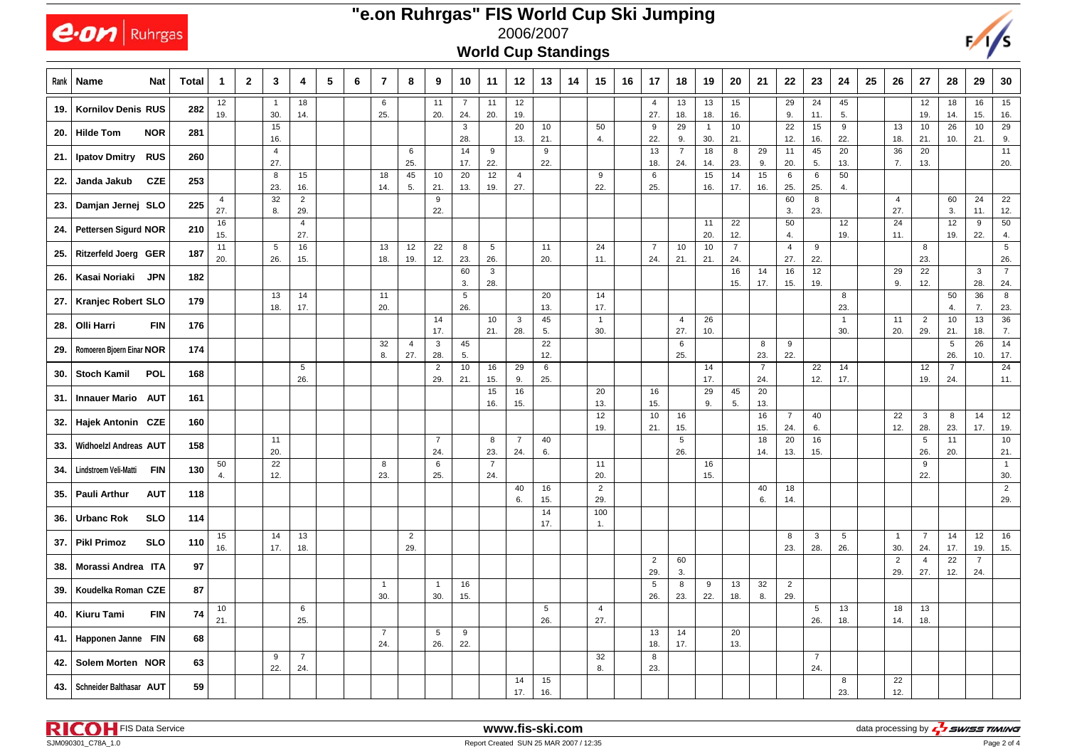|      | $e$ on Ruhrgas                      |                                                                                                                                                                                                                                                                                                                                                                                                                                                                                                                           |                       |  |                       |                       |  |  |                       |                       |                       |                     |                       | 2006/2007             |           | "e.on Ruhrgas" FIS World Cup Ski Jumping |                       |                       |                       |                       |                       |                       |                       |                       |                       |                       |                       |                        |                       |                        |
|------|-------------------------------------|---------------------------------------------------------------------------------------------------------------------------------------------------------------------------------------------------------------------------------------------------------------------------------------------------------------------------------------------------------------------------------------------------------------------------------------------------------------------------------------------------------------------------|-----------------------|--|-----------------------|-----------------------|--|--|-----------------------|-----------------------|-----------------------|---------------------|-----------------------|-----------------------|-----------|------------------------------------------|-----------------------|-----------------------|-----------------------|-----------------------|-----------------------|-----------------------|-----------------------|-----------------------|-----------------------|-----------------------|-----------------------|------------------------|-----------------------|------------------------|
|      |                                     |                                                                                                                                                                                                                                                                                                                                                                                                                                                                                                                           |                       |  |                       |                       |  |  |                       |                       |                       |                     |                       |                       |           |                                          |                       |                       |                       |                       |                       |                       |                       |                       |                       |                       |                       |                        |                       |                        |
| Rank | Name                                | <b>World Cup Standings</b><br>5<br>$\mathbf{2}$<br>$\overline{7}$<br>12<br>13<br>15<br>24<br>25<br><b>Total</b><br>3<br>6<br>8<br>9<br>10<br>11<br>14<br>16<br>17<br>18<br>19<br>20<br>21<br>22<br>23<br>26<br>27<br>28<br>29<br><b>Nat</b><br>$\mathbf 1$<br>4<br>12<br>12<br>18<br>$7\overline{ }$<br>11<br>13<br>13<br>15<br>29<br>45<br>12<br>18<br>16<br>6<br>11<br>4<br>24<br>-1<br>282<br>19.<br>30.<br>14.<br>25.<br>20.<br>24.<br>20.<br>19.<br>27.<br>18.<br>18.<br>16.<br>5.<br>19.<br>9.<br>11.<br>14.<br>15. |                       |  |                       |                       |  |  |                       |                       |                       |                     |                       |                       |           |                                          |                       | 30                    |                       |                       |                       |                       |                       |                       |                       |                       |                       |                        |                       |                        |
| 19.  | <b>Kornilov Denis RUS</b>           |                                                                                                                                                                                                                                                                                                                                                                                                                                                                                                                           |                       |  |                       |                       |  |  |                       |                       |                       |                     |                       |                       |           |                                          |                       |                       |                       |                       |                       |                       |                       |                       |                       |                       |                       |                        |                       | 15<br>16.              |
| 20.  | <b>Hilde Tom</b><br><b>NOR</b>      | 281                                                                                                                                                                                                                                                                                                                                                                                                                                                                                                                       |                       |  | 15<br>16.             |                       |  |  |                       |                       |                       | $\mathbf{3}$<br>28. |                       | 20<br>13.             | 10<br>21. |                                          | 50<br>4.              | 9<br>22.              | 29<br>9.              | $\overline{1}$<br>30. | $10$<br>21.           |                       | 22<br>12.             | 15<br>16.             | 9<br>22.              | 13<br>18.             | 10<br>21.             | 26<br>10.              | 10<br>21.             | 29<br>9.               |
| 21.  | <b>Ipatov Dmitry</b><br><b>RUS</b>  | 260                                                                                                                                                                                                                                                                                                                                                                                                                                                                                                                       |                       |  | $\overline{4}$<br>27. |                       |  |  |                       | 6<br>25.              |                       | 14<br>17.           | 9<br>22.              |                       | 9<br>22.  |                                          |                       | 13<br>18.             | $\overline{7}$<br>24. | 18<br>14.             | 8<br>23.              | 29<br>9.              | 11<br>20.             | 45<br>5.              | 20<br>13.             | 36<br>7.              | 20<br>13.             |                        |                       | 11<br>20.              |
| 22.  | <b>CZE</b><br>Janda Jakub           | 253                                                                                                                                                                                                                                                                                                                                                                                                                                                                                                                       |                       |  | 8<br>23.              | 15<br>16.             |  |  | 18<br>14.             | 45<br>5.              | 10<br>21.             | 20<br>13.           | 12<br>19.             | $\overline{4}$<br>27. |           |                                          | 9<br>22.              | 6<br>25.              |                       | 15<br>16.             | 14<br>17.             | 15<br>16.             | 6<br>25.              | 6<br>25.              | 50<br>4.              |                       |                       |                        |                       |                        |
| 23.  | Damjan Jernej SLO                   | 225                                                                                                                                                                                                                                                                                                                                                                                                                                                                                                                       | $\overline{4}$<br>27. |  | 32<br>8.              | $\overline{2}$<br>29. |  |  |                       |                       | 9<br>22.              |                     |                       |                       |           |                                          |                       |                       |                       |                       |                       |                       | 60<br>3.              | 8<br>23.              |                       | $\overline{4}$<br>27. |                       | 60<br>3.               | 24<br>11.             | 22<br>12.              |
| 24.  | Pettersen Sigurd NOR                | 210                                                                                                                                                                                                                                                                                                                                                                                                                                                                                                                       | 16<br>15.             |  |                       | $\overline{4}$<br>27. |  |  |                       |                       |                       |                     |                       |                       |           |                                          |                       |                       |                       | 11<br>20.             | 22<br>12.             |                       | 50<br>4.              |                       | 12<br>19.             | 24<br>11.             |                       | 12<br>19.              | 9<br>22.              | 50<br>4.               |
| 25.  | <b>Ritzerfeld Joerg GER</b>         | 187                                                                                                                                                                                                                                                                                                                                                                                                                                                                                                                       | 11<br>20.             |  | 5<br>26.              | 16<br>15.             |  |  | 13<br>18.             | 12<br>19.             | 22<br>12.             | 8<br>23.            | 5<br>26.              |                       | 11<br>20. |                                          | 24<br>11.             | $\overline{7}$<br>24. | 10<br>21.             | 10<br>21.             | $\overline{7}$<br>24. |                       | $\overline{4}$<br>27. | 9<br>22.              |                       |                       | 8<br>23.              |                        |                       | $5\phantom{.0}$<br>26. |
| 26.  | Kasai Noriaki<br><b>JPN</b>         | 182                                                                                                                                                                                                                                                                                                                                                                                                                                                                                                                       |                       |  |                       |                       |  |  |                       |                       |                       | 60<br>3.            | 3<br>28.              |                       |           |                                          |                       |                       |                       |                       | 16<br>15.             | 14<br>17.             | 16<br>15.             | 12<br>19.             |                       | 29<br>9.              | 22<br>12.             |                        | 3<br>28.              | $\overline{7}$<br>24.  |
| 27.  | <b>Kranjec Robert SLO</b>           | 179                                                                                                                                                                                                                                                                                                                                                                                                                                                                                                                       |                       |  | 13<br>18.             | 14<br>17.             |  |  | 11<br>20.             |                       |                       | 5<br>26.            |                       |                       | 20<br>13. |                                          | 14<br>17.             |                       |                       |                       |                       |                       |                       |                       | 8<br>23.              |                       |                       | 50<br>4.               | 36<br>7.              | 8<br>23.               |
| 28.  | Olli Harri<br><b>FIN</b>            | 176                                                                                                                                                                                                                                                                                                                                                                                                                                                                                                                       |                       |  |                       |                       |  |  |                       |                       | 14<br>17.             |                     | 10<br>21.             | 3<br>28.              | 45<br>5.  |                                          | $\overline{1}$<br>30. |                       | 4<br>27.              | 26<br>10.             |                       |                       |                       |                       | $\overline{1}$<br>30. | 11<br>20.             | $\overline{2}$<br>29. | 10<br>21.              | 13<br>18.             | 36<br>7.               |
| 29.  | Romoeren Bjoern Einar NOR           | 174                                                                                                                                                                                                                                                                                                                                                                                                                                                                                                                       |                       |  |                       |                       |  |  | 32<br>8.              | $\overline{4}$<br>27. | 3<br>28.              | 45<br>5.            |                       |                       | 22<br>12. |                                          |                       |                       | 6<br>25.              |                       |                       | 8<br>23.              | 9<br>22.              |                       |                       |                       |                       | $5\phantom{.0}$<br>26. | 26<br>10.             | 14<br>17.              |
| 30.  | <b>Stoch Kamil</b><br><b>POL</b>    | 168                                                                                                                                                                                                                                                                                                                                                                                                                                                                                                                       |                       |  |                       | 5<br>26.              |  |  |                       |                       | $\overline{2}$<br>29. | 10<br>21.           | 16<br>15.             | 29<br>9.              | 6<br>25.  |                                          |                       |                       |                       | 14<br>17.             |                       | $\overline{7}$<br>24. |                       | 22<br>12.             | 14<br>17.             |                       | 12<br>19.             | $\overline{7}$<br>24.  |                       | 24<br>11.              |
| 31.  | <b>Innauer Mario AUT</b>            | 161                                                                                                                                                                                                                                                                                                                                                                                                                                                                                                                       |                       |  |                       |                       |  |  |                       |                       |                       |                     | 15<br>16.             | 16<br>15.             |           |                                          | 20<br>13.             | 16<br>15.             |                       | 29<br>9.              | 45<br>5.              | 20<br>13.             |                       |                       |                       |                       |                       |                        |                       |                        |
| 32.  | <b>Hajek Antonin CZE</b>            | 160                                                                                                                                                                                                                                                                                                                                                                                                                                                                                                                       |                       |  |                       |                       |  |  |                       |                       |                       |                     |                       |                       |           |                                          | 12<br>19.             | 10<br>21.             | 16<br>15.             |                       |                       | 16<br>15.             | $\overline{7}$<br>24. | 40<br>6.              |                       | 22<br>12.             | $\mathbf{3}$<br>28.   | 8<br>23.               | 14<br>17.             | 12<br>19.              |
| 33.  | <b>Widhoelzl Andreas AUT</b>        | 158                                                                                                                                                                                                                                                                                                                                                                                                                                                                                                                       |                       |  | 11<br>20.             |                       |  |  |                       |                       | $\overline{7}$<br>24. |                     | 8<br>23.              | $\overline{7}$<br>24. | 40<br>6.  |                                          |                       |                       | 5<br>26.              |                       |                       | 18<br>14.             | 20<br>13.             | 16<br>15.             |                       |                       | 5<br>26.              | 11<br>20.              |                       | 10<br>21.              |
| 34.  | Lindstroem Veli-Matti<br><b>FIN</b> | 130                                                                                                                                                                                                                                                                                                                                                                                                                                                                                                                       | 50<br>4.              |  | 22<br>12.             |                       |  |  | 8<br>23.              |                       | 6<br>25.              |                     | $\overline{7}$<br>24. |                       |           |                                          | 11<br>20.             |                       |                       | 16<br>15.             |                       |                       |                       |                       |                       |                       | 9<br>22.              |                        |                       | $\overline{1}$<br>30.  |
| 35.  | <b>AUT</b><br><b>Pauli Arthur</b>   | 118                                                                                                                                                                                                                                                                                                                                                                                                                                                                                                                       |                       |  |                       |                       |  |  |                       |                       |                       |                     |                       | 40<br>6.              | 16<br>15. |                                          | $\overline{2}$<br>29. |                       |                       |                       |                       | 40<br>6.              | 18<br>14.             |                       |                       |                       |                       |                        |                       | $\overline{2}$<br>29.  |
| 36.  | <b>Urbanc Rok</b><br><b>SLO</b>     | 114                                                                                                                                                                                                                                                                                                                                                                                                                                                                                                                       |                       |  |                       |                       |  |  |                       |                       |                       |                     |                       |                       | 14<br>17. |                                          | 100<br>1.             |                       |                       |                       |                       |                       |                       |                       |                       |                       |                       |                        |                       |                        |
| 37.  | <b>Pikl Primoz</b><br><b>SLO</b>    | 110                                                                                                                                                                                                                                                                                                                                                                                                                                                                                                                       | 15<br>16.             |  | 14<br>17.             | 13<br>18.             |  |  |                       | $\overline{2}$<br>29. |                       |                     |                       |                       |           |                                          |                       |                       |                       |                       |                       |                       | 8<br>23.              | 3<br>28.              | 5<br>26.              | $\overline{1}$<br>30. | $\overline{7}$<br>24  | 14<br>17.              | 12<br>19.             | 16<br>15.              |
| 38.  | Morassi Andrea ITA                  | 97                                                                                                                                                                                                                                                                                                                                                                                                                                                                                                                        |                       |  |                       |                       |  |  |                       |                       |                       |                     |                       |                       |           |                                          |                       | $\overline{2}$<br>29. | 60<br>3.              |                       |                       |                       |                       |                       |                       | $\overline{2}$<br>29. | $\overline{4}$<br>27. | 22<br>12.              | $\overline{7}$<br>24. |                        |
| 39.  | Koudelka Roman CZE                  | 87                                                                                                                                                                                                                                                                                                                                                                                                                                                                                                                        |                       |  |                       |                       |  |  | $\overline{1}$<br>30. |                       | $\overline{1}$<br>30. | 16<br>15.           |                       |                       |           |                                          |                       | 5<br>26.              | 8<br>23.              | 9<br>22.              | 13<br>18.             | 32<br>8.              | $\overline{2}$<br>29. |                       |                       |                       |                       |                        |                       |                        |
| 40.  | <b>FIN</b><br>Kiuru Tami            | 74                                                                                                                                                                                                                                                                                                                                                                                                                                                                                                                        | 10<br>21.             |  |                       | 6<br>25.              |  |  |                       |                       |                       |                     |                       |                       | 5<br>26.  |                                          | $\overline{4}$<br>27. |                       |                       |                       |                       |                       |                       | 5<br>26.              | 13<br>18.             | 18<br>14.             | 13<br>18.             |                        |                       |                        |
|      | 41.   Happonen Janne FIN            | 68                                                                                                                                                                                                                                                                                                                                                                                                                                                                                                                        |                       |  |                       |                       |  |  | $\overline{7}$<br>24. |                       | 5<br>26.              | 9<br>22.            |                       |                       |           |                                          |                       | 13<br>18.             | 14<br>17.             |                       | 20<br>13.             |                       |                       |                       |                       |                       |                       |                        |                       |                        |
| 42.  | Solem Morten NOR                    | 63                                                                                                                                                                                                                                                                                                                                                                                                                                                                                                                        |                       |  | 9<br>22.              | $\overline{7}$<br>24. |  |  |                       |                       |                       |                     |                       |                       |           |                                          | 32<br>8.              | 8<br>23.              |                       |                       |                       |                       |                       | $\overline{7}$<br>24. |                       |                       |                       |                        |                       |                        |
| 43.  | Schneider Balthasar AUT             | 59                                                                                                                                                                                                                                                                                                                                                                                                                                                                                                                        |                       |  |                       |                       |  |  |                       |                       |                       |                     |                       | 14<br>17.             | 15<br>16. |                                          |                       |                       |                       |                       |                       |                       |                       |                       | 8<br>23.              | 22<br>12.             |                       |                        |                       |                        |

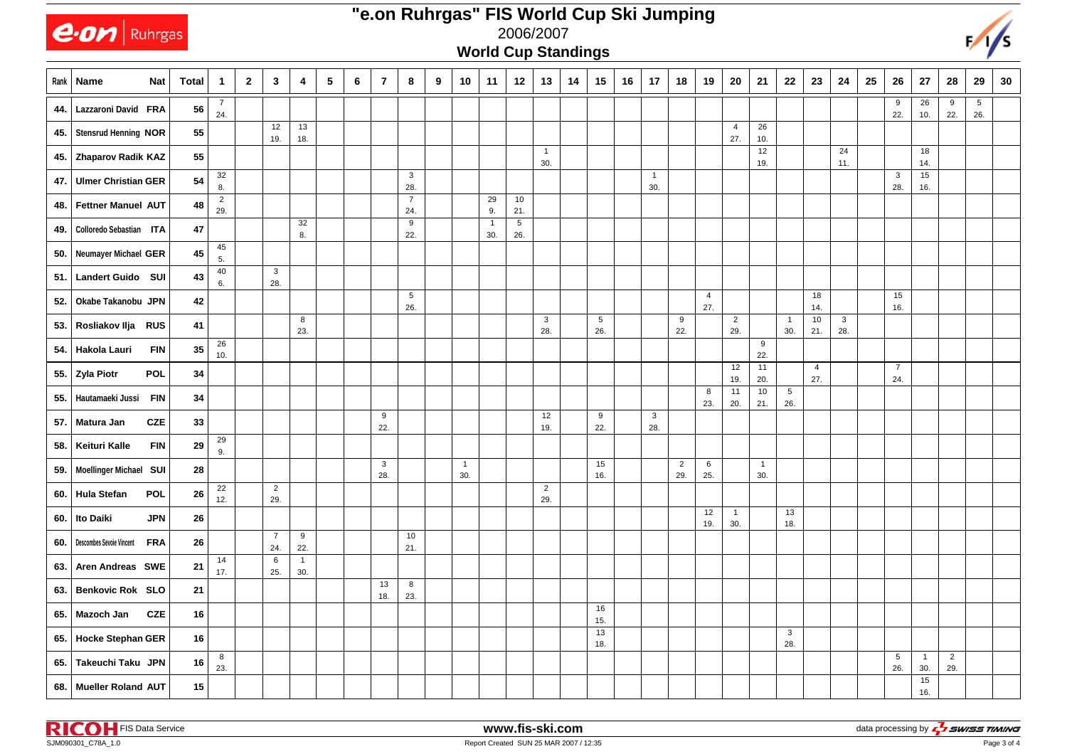|     | $ e$ <i>on</i>   Ruhrgas        |            |              |                       |              |                       |                       |            |                |                |                       |   |                     | <b>World Cup Standings</b> |                        | 2006/2007             |    |           |    |                     |                       |                       |                       |                       |                        |                       |            |    |                       |                       |                       |                   | $\frac{1}{s}$ |
|-----|---------------------------------|------------|--------------|-----------------------|--------------|-----------------------|-----------------------|------------|----------------|----------------|-----------------------|---|---------------------|----------------------------|------------------------|-----------------------|----|-----------|----|---------------------|-----------------------|-----------------------|-----------------------|-----------------------|------------------------|-----------------------|------------|----|-----------------------|-----------------------|-----------------------|-------------------|---------------|
|     | Rank   Name                     | <b>Nat</b> | <b>Total</b> | $\mathbf{1}$          | $\mathbf{2}$ | $\mathbf{3}$          | 4                     | $\sqrt{5}$ | $6\phantom{1}$ | $\overline{7}$ | 8                     | 9 | 10                  | 11                         | 12                     | 13                    | 14 | 15        | 16 | 17                  | 18                    | 19                    | 20                    | 21                    | 22                     | 23                    | ${\bf 24}$ | 25 | ${\bf 26}$            | 27                    | 28                    | 29                | 30            |
| 44. | Lazzaroni David FRA             |            | 56           | $\overline{7}$<br>24. |              |                       |                       |            |                |                |                       |   |                     |                            |                        |                       |    |           |    |                     |                       |                       |                       |                       |                        |                       |            |    | 9<br>22.              | 26<br>10.             | 9<br>22.              | $\sqrt{5}$<br>26. |               |
|     | 45. Stensrud Henning NOR        |            | 55           |                       |              | 12<br>19.             | 13<br>18.             |            |                |                |                       |   |                     |                            |                        |                       |    |           |    |                     |                       |                       | $\overline{4}$<br>27. | 26<br>10.             |                        |                       |            |    |                       |                       |                       |                   |               |
|     | 45. Zhaparov Radik KAZ          |            | 55           |                       |              |                       |                       |            |                |                |                       |   |                     |                            |                        | $\overline{1}$<br>30. |    |           |    |                     |                       |                       |                       | 12<br>19.             |                        |                       | 24<br>11.  |    |                       | 18<br>14.             |                       |                   |               |
| 47. | <b>Ulmer Christian GER</b>      |            | 54           | 32<br>8.              |              |                       |                       |            |                |                | 3<br>28.              |   |                     |                            |                        |                       |    |           |    | $\mathbf{1}$<br>30. |                       |                       |                       |                       |                        |                       |            |    | $\mathbf{3}$<br>28.   | 15<br>16.             |                       |                   |               |
| 48. | Fettner Manuel AUT              |            | 48           | $\overline{c}$<br>29. |              |                       |                       |            |                |                | $\overline{7}$<br>24. |   |                     | 29<br>9.                   | 10<br>21.              |                       |    |           |    |                     |                       |                       |                       |                       |                        |                       |            |    |                       |                       |                       |                   |               |
| 49. | Colloredo Sebastian ITA         |            | 47           |                       |              |                       | 32<br>8.              |            |                |                | 9<br>22.              |   |                     | $\overline{1}$<br>30.      | $5\phantom{.0}$<br>26. |                       |    |           |    |                     |                       |                       |                       |                       |                        |                       |            |    |                       |                       |                       |                   |               |
| 50. | Neumayer Michael GER            |            | 45           | 45<br>5.              |              |                       |                       |            |                |                |                       |   |                     |                            |                        |                       |    |           |    |                     |                       |                       |                       |                       |                        |                       |            |    |                       |                       |                       |                   |               |
| 51. | Landert Guido SUI               |            | 43           | 40<br>6.              |              | $\mathbf{3}$<br>28.   |                       |            |                |                |                       |   |                     |                            |                        |                       |    |           |    |                     |                       |                       |                       |                       |                        |                       |            |    |                       |                       |                       |                   |               |
| 52. | Okabe Takanobu JPN              |            | 42           |                       |              |                       |                       |            |                |                | $\sqrt{5}$<br>26.     |   |                     |                            |                        |                       |    |           |    |                     |                       | $\overline{4}$<br>27. |                       |                       |                        | 18<br>14.             |            |    | 15<br>16.             |                       |                       |                   |               |
|     | 53. Rosliakov Ilja RUS          |            | 41           |                       |              |                       | 8<br>23.              |            |                |                |                       |   |                     |                            |                        | $\mathbf{3}$<br>28.   |    | 5<br>26.  |    |                     | 9<br>22.              |                       | $\overline{c}$<br>29. |                       | $\overline{1}$<br>30.  | 10<br>21.             | 3<br>28.   |    |                       |                       |                       |                   |               |
|     | 54.   Hakola Lauri              | <b>FIN</b> | 35           | 26<br>10.             |              |                       |                       |            |                |                |                       |   |                     |                            |                        |                       |    |           |    |                     |                       |                       |                       | 9<br>22.              |                        |                       |            |    |                       |                       |                       |                   |               |
|     | 55. Zyla Piotr                  | <b>POL</b> | 34           |                       |              |                       |                       |            |                |                |                       |   |                     |                            |                        |                       |    |           |    |                     |                       |                       | 12<br>19.             | 11<br>20.             |                        | $\overline{4}$<br>27. |            |    | $\overline{7}$<br>24. |                       |                       |                   |               |
| 55. | Hautamaeki Jussi                | <b>FIN</b> | 34           |                       |              |                       |                       |            |                |                |                       |   |                     |                            |                        |                       |    |           |    |                     |                       | 8<br>23.              | 11<br>20.             | 10<br>21.             | $5\phantom{.0}$<br>26. |                       |            |    |                       |                       |                       |                   |               |
| 57. | Matura Jan                      | <b>CZE</b> | 33           |                       |              |                       |                       |            |                | 9<br>22.       |                       |   |                     |                            |                        | 12<br>19.             |    | 9<br>22.  |    | 3<br>28.            |                       |                       |                       |                       |                        |                       |            |    |                       |                       |                       |                   |               |
| 58. | Keituri Kalle                   | <b>FIN</b> | 29           | 29<br>9.              |              |                       |                       |            |                |                |                       |   |                     |                            |                        |                       |    |           |    |                     |                       |                       |                       |                       |                        |                       |            |    |                       |                       |                       |                   |               |
|     | 59.   Moellinger Michael SUI    |            | 28           |                       |              |                       |                       |            |                | 3<br>28.       |                       |   | $\mathbf{1}$<br>30. |                            |                        |                       |    | 15<br>16. |    |                     | $\overline{2}$<br>29. | 6<br>25.              |                       | $\overline{1}$<br>30. |                        |                       |            |    |                       |                       |                       |                   |               |
|     | 60. Hula Stefan                 | <b>POL</b> | 26           | 22<br>12.             |              | $\overline{2}$<br>29. |                       |            |                |                |                       |   |                     |                            |                        | $\overline{2}$<br>29. |    |           |    |                     |                       |                       |                       |                       |                        |                       |            |    |                       |                       |                       |                   |               |
| 60. | Ito Daiki                       | <b>JPN</b> | 26           |                       |              |                       |                       |            |                |                |                       |   |                     |                            |                        |                       |    |           |    |                     |                       | 12<br>19.             | $\mathbf{1}$<br>30.   |                       | 13<br>18.              |                       |            |    |                       |                       |                       |                   |               |
| 60. | <b>Descombes Sevoie Vincent</b> | <b>FRA</b> | 26           |                       |              | $\overline{7}$<br>24. | 9<br>22.              |            |                |                | 10<br>21.             |   |                     |                            |                        |                       |    |           |    |                     |                       |                       |                       |                       |                        |                       |            |    |                       |                       |                       |                   |               |
|     | 63.   Aren Andreas SWE          |            | 21           | 14<br>17.             |              | 6<br>25.              | $\overline{1}$<br>30. |            |                |                |                       |   |                     |                            |                        |                       |    |           |    |                     |                       |                       |                       |                       |                        |                       |            |    |                       |                       |                       |                   |               |
|     | 63. Benkovic Rok SLO            |            | ${\bf 21}$   |                       |              |                       |                       |            |                | 13<br>18.      | 8<br>23.              |   |                     |                            |                        |                       |    |           |    |                     |                       |                       |                       |                       |                        |                       |            |    |                       |                       |                       |                   |               |
|     | 65. Mazoch Jan                  | <b>CZE</b> | 16           |                       |              |                       |                       |            |                |                |                       |   |                     |                            |                        |                       |    | 16<br>15. |    |                     |                       |                       |                       |                       |                        |                       |            |    |                       |                       |                       |                   |               |
|     | 65. Hocke Stephan GER           |            | 16           |                       |              |                       |                       |            |                |                |                       |   |                     |                            |                        |                       |    | 13<br>18. |    |                     |                       |                       |                       |                       | $\mathbf{3}$<br>28.    |                       |            |    |                       |                       |                       |                   |               |
|     | 65. Takeuchi Taku JPN           |            | 16           | 8<br>23.              |              |                       |                       |            |                |                |                       |   |                     |                            |                        |                       |    |           |    |                     |                       |                       |                       |                       |                        |                       |            |    | $\sqrt{5}$<br>26.     | $\overline{1}$<br>30. | $\overline{2}$<br>29. |                   |               |
|     | 68. Mueller Roland AUT          |            | 15           |                       |              |                       |                       |            |                |                |                       |   |                     |                            |                        |                       |    |           |    |                     |                       |                       |                       |                       |                        |                       |            |    |                       | 15<br>16.             |                       |                   |               |



## **"e.on Ruhrgas" FIS World Cup Ski Jumping**